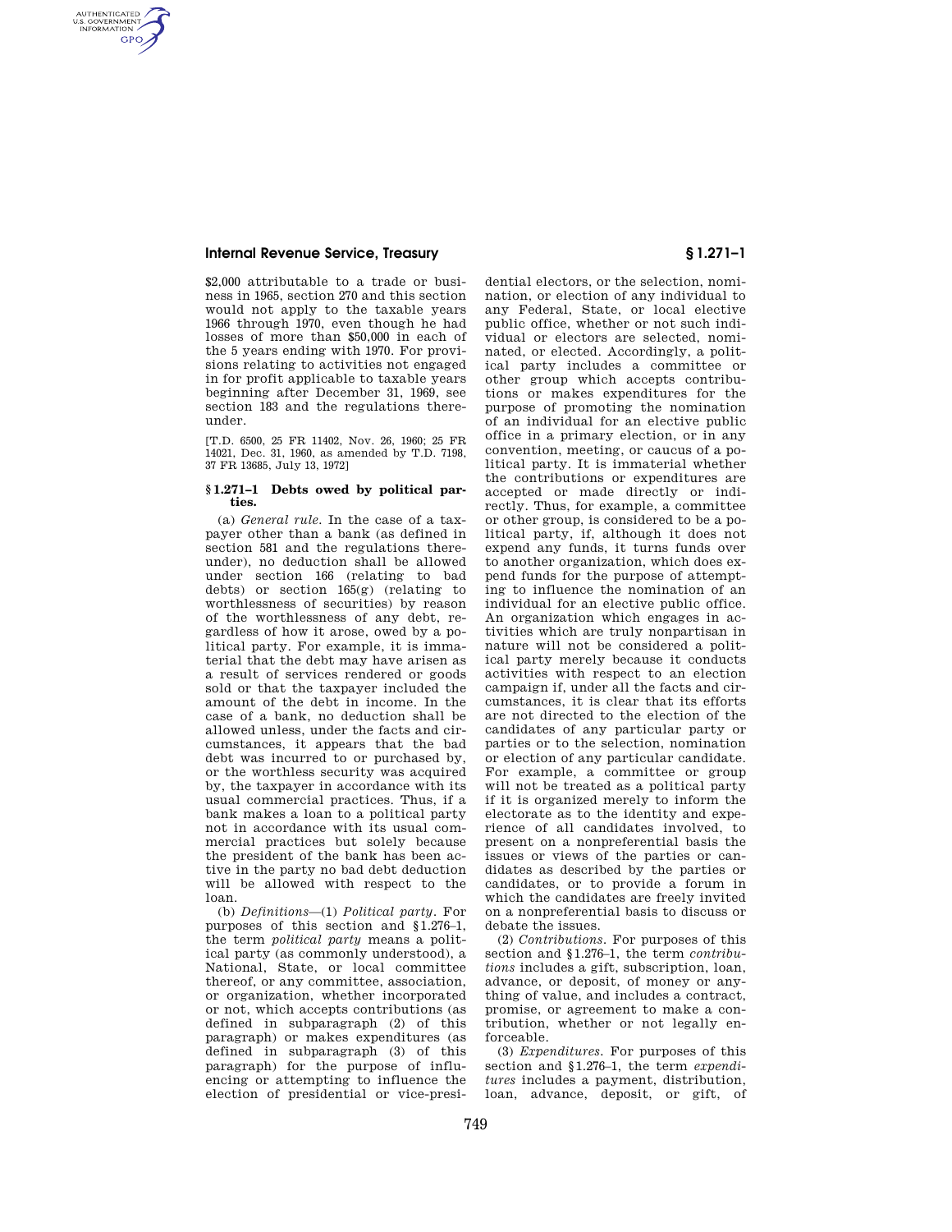## **Internal Revenue Service, Treasury § 1.271–1**

AUTHENTICATED<br>U.S. GOVERNMENT<br>INFORMATION **GPO** 

> \$2,000 attributable to a trade or business in 1965, section 270 and this section would not apply to the taxable years 1966 through 1970, even though he had losses of more than \$50,000 in each of the 5 years ending with 1970. For provisions relating to activities not engaged in for profit applicable to taxable years beginning after December 31, 1969, see section 183 and the regulations thereunder.

> [T.D. 6500, 25 FR 11402, Nov. 26, 1960; 25 FR 14021, Dec. 31, 1960, as amended by T.D. 7198, 37 FR 13685, July 13, 1972]

## **§ 1.271–1 Debts owed by political parties.**

(a) *General rule.* In the case of a taxpayer other than a bank (as defined in section 581 and the regulations thereunder), no deduction shall be allowed under section 166 (relating to bad debts) or section 165(g) (relating to worthlessness of securities) by reason of the worthlessness of any debt, regardless of how it arose, owed by a political party. For example, it is immaterial that the debt may have arisen as a result of services rendered or goods sold or that the taxpayer included the amount of the debt in income. In the case of a bank, no deduction shall be allowed unless, under the facts and circumstances, it appears that the bad debt was incurred to or purchased by, or the worthless security was acquired by, the taxpayer in accordance with its usual commercial practices. Thus, if a bank makes a loan to a political party not in accordance with its usual commercial practices but solely because the president of the bank has been active in the party no bad debt deduction will be allowed with respect to the loan.

(b) *Definitions*—(1) *Political party.* For purposes of this section and §1.276–1, the term *political party* means a political party (as commonly understood), a National, State, or local committee thereof, or any committee, association, or organization, whether incorporated or not, which accepts contributions (as defined in subparagraph (2) of this paragraph) or makes expenditures (as defined in subparagraph (3) of this paragraph) for the purpose of influencing or attempting to influence the election of presidential or vice-presi-

dential electors, or the selection, nomination, or election of any individual to any Federal, State, or local elective public office, whether or not such individual or electors are selected, nominated, or elected. Accordingly, a political party includes a committee or other group which accepts contributions or makes expenditures for the purpose of promoting the nomination of an individual for an elective public office in a primary election, or in any convention, meeting, or caucus of a political party. It is immaterial whether the contributions or expenditures are accepted or made directly or indirectly. Thus, for example, a committee or other group, is considered to be a political party, if, although it does not expend any funds, it turns funds over to another organization, which does expend funds for the purpose of attempting to influence the nomination of an individual for an elective public office. An organization which engages in activities which are truly nonpartisan in nature will not be considered a political party merely because it conducts activities with respect to an election campaign if, under all the facts and circumstances, it is clear that its efforts are not directed to the election of the candidates of any particular party or parties or to the selection, nomination or election of any particular candidate. For example, a committee or group will not be treated as a political party if it is organized merely to inform the electorate as to the identity and experience of all candidates involved, to present on a nonpreferential basis the issues or views of the parties or candidates as described by the parties or candidates, or to provide a forum in which the candidates are freely invited on a nonpreferential basis to discuss or debate the issues.

(2) *Contributions.* For purposes of this section and §1.276–1, the term *contributions* includes a gift, subscription, loan, advance, or deposit, of money or anything of value, and includes a contract, promise, or agreement to make a contribution, whether or not legally enforceable.

(3) *Expenditures.* For purposes of this section and §1.276–1, the term *expenditures* includes a payment, distribution, loan, advance, deposit, or gift, of